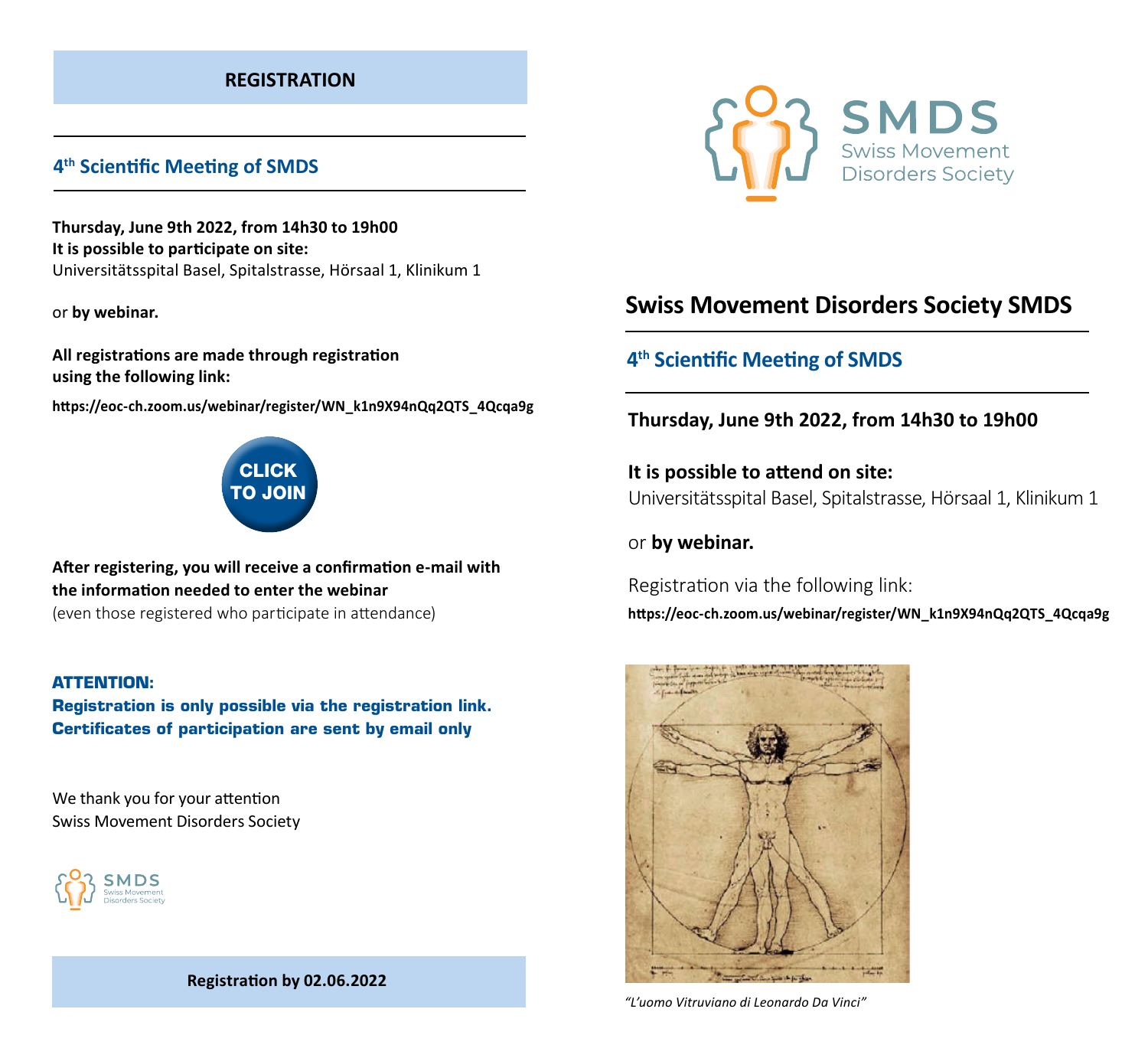### **REGISTRATION**

## **4th Scientific Meeting of SMDS**

**Thursday, June 9th 2022, from 14h30 to 19h00 It is possible to participate on site:**  Universitätsspital Basel, Spitalstrasse, Hörsaal 1, Klinikum 1

or **by webinar.**

**All registrations are made through registration using the following link:**

**https://eoc-ch.zoom.us/webinar/register/WN\_k1n9X94nQq2QTS\_4Qcqa9g**



**After registering, you will receive a confirmation e-mail with the information needed to enter the webinar**

(even those registered who participate in attendance)

#### **ATTENTION:**

**Registration is only possible via the registration link. Certificates of participation are sent by email only**

We thank you for your attention Swiss Movement Disorders Society







# **Swiss Movement Disorders Society SMDS**

# **4th Scientific Meeting of SMDS**

### **Thursday, June 9th 2022, from 14h30 to 19h00**

**It is possible to attend on site:**  Universitätsspital Basel, Spitalstrasse, Hörsaal 1, Klinikum 1

### or **by webinar.**

Registration via the following link:

**https://eoc-ch.zoom.us/webinar/register/WN\_k1n9X94nQq2QTS\_4Qcqa9g**



*"L'uomo Vitruviano di Leonardo Da Vinci"*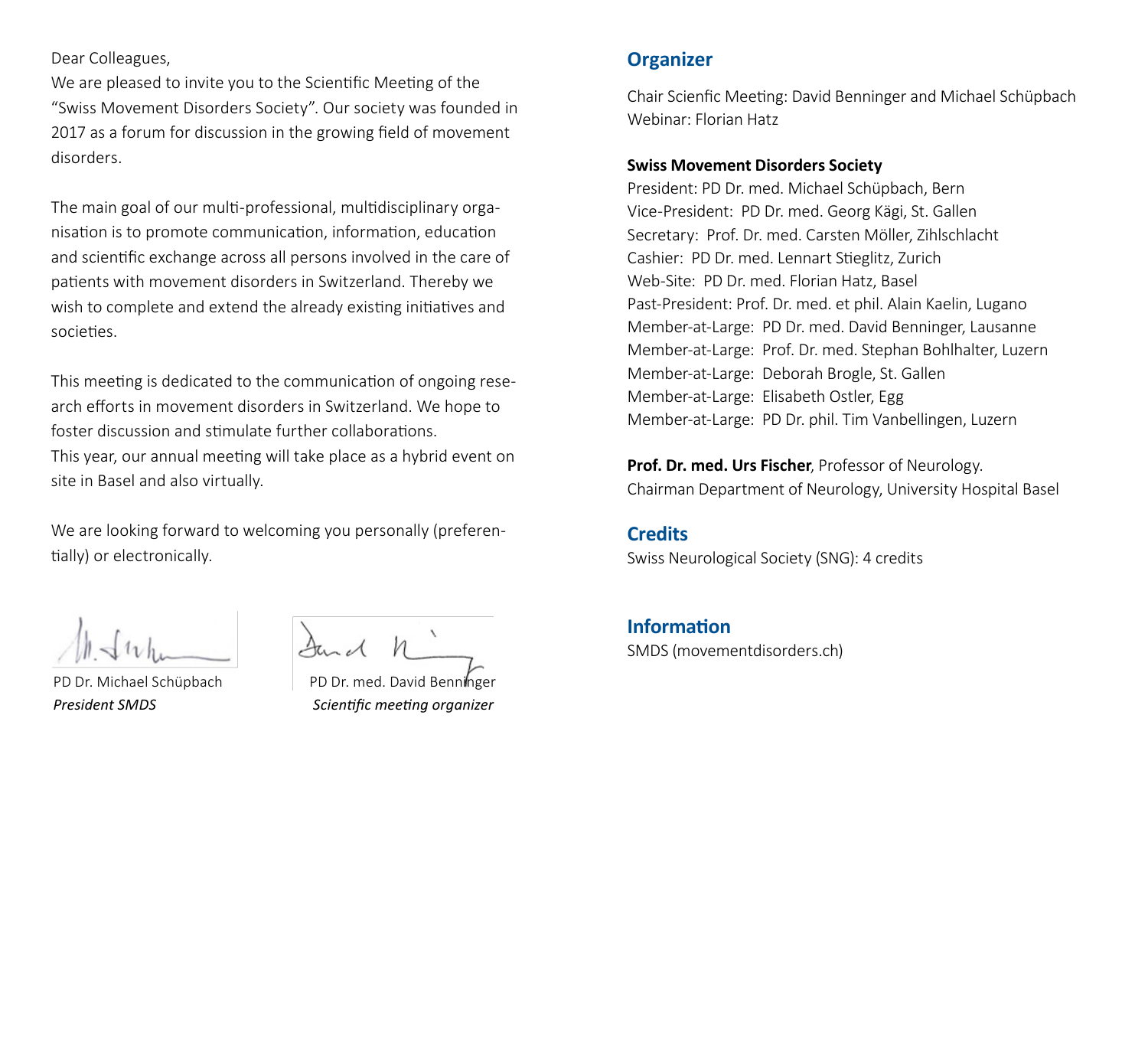#### Dear Colleagues,

We are pleased to invite you to the Scientific Meeting of the "Swiss Movement Disorders Society". Our society was founded in 2017 as a forum for discussion in the growing field of movement disorders.

The main goal of our multi-professional, multidisciplinary organisation is to promote communication, information, education and scientific exchange across all persons involved in the care of patients with movement disorders in Switzerland. Thereby we wish to complete and extend the already existing initiatives and societies.

This meeting is dedicated to the communication of ongoing research efforts in movement disorders in Switzerland. We hope to foster discussion and stimulate further collaborations. This year, our annual meeting will take place as a hybrid event on site in Basel and also virtually.

We are looking forward to welcoming you personally (preferentially) or electronically.

PD Dr. Michael Schüpbach PD Dr. med. David Benninger *President SMDS Scientific meeting organizer*

### **Organizer**

Chair Scienfic Meeting: David Benninger and Michael Schüpbach Webinar: Florian Hatz

#### **Swiss Movement Disorders Society**

President: PD Dr. med. Michael Schüpbach, Bern Vice-President: PD Dr. med. Georg Kägi, St. Gallen Secretary: Prof. Dr. med. Carsten Möller, Zihlschlacht Cashier: PD Dr. med. Lennart Stieglitz, Zurich Web-Site: PD Dr. med. Florian Hatz, Basel Past-President: Prof. Dr. med. et phil. Alain Kaelin, Lugano Member-at-Large: PD Dr. med. David Benninger, Lausanne Member-at-Large: Prof. Dr. med. Stephan Bohlhalter, Luzern Member-at-Large: Deborah Brogle, St. Gallen Member-at-Large: Elisabeth Ostler, Egg Member-at-Large: PD Dr. phil. Tim Vanbellingen, Luzern

**Prof. Dr. med. Urs Fischer**, Professor of Neurology. Chairman Department of Neurology, University Hospital Basel

#### **Credits**

Swiss Neurological Society (SNG): 4 credits

# **Information**

SMDS (movementdisorders.ch)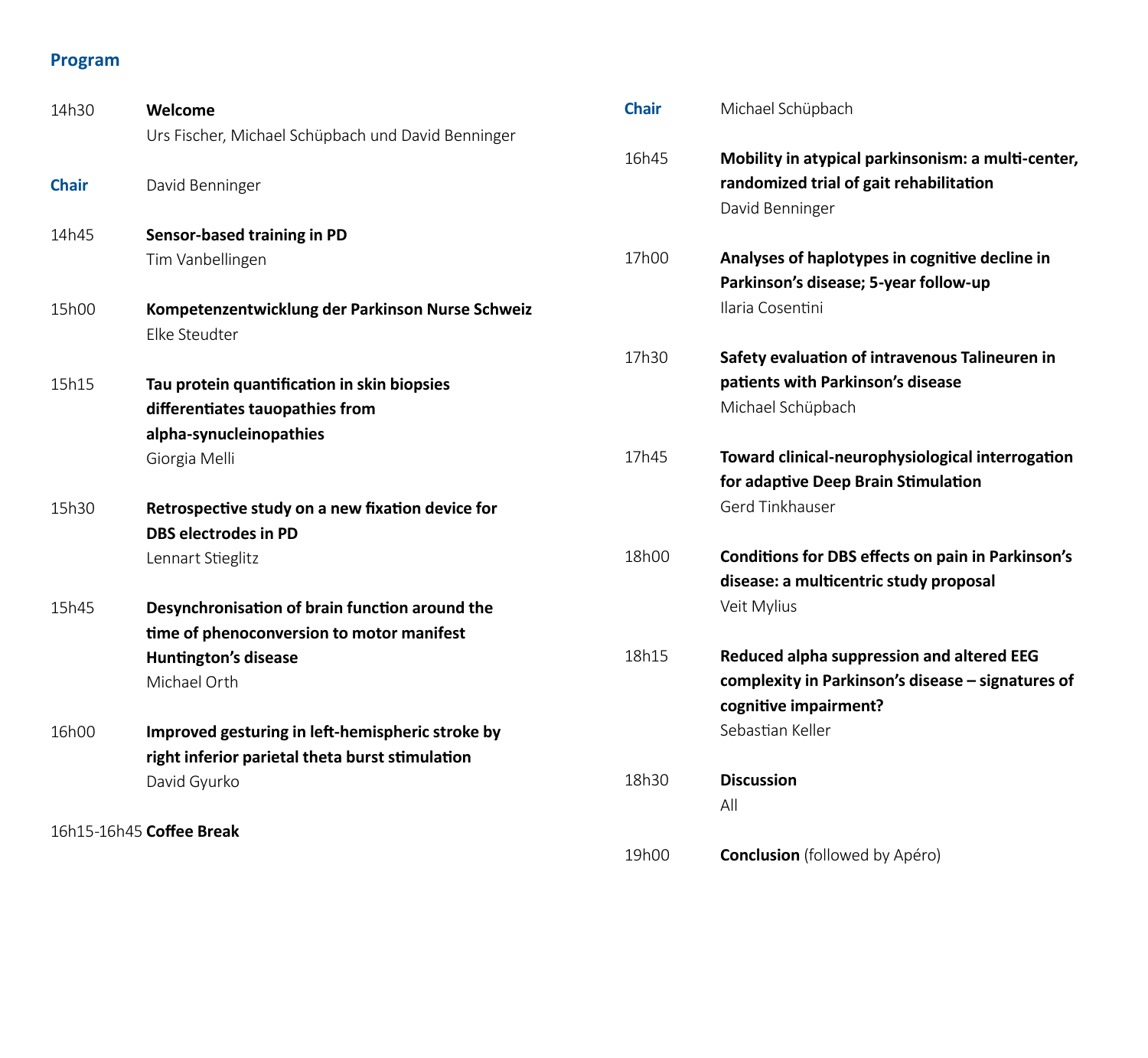## **Program**

| 14h30        | Welcome                                            | <b>Chair</b> | Michael Schüpbach                                  |
|--------------|----------------------------------------------------|--------------|----------------------------------------------------|
|              | Urs Fischer, Michael Schüpbach und David Benninger |              |                                                    |
|              |                                                    | 16h45        | Mobility in atypical parkinsonism: a multi-center, |
| <b>Chair</b> | David Benninger                                    |              | randomized trial of gait rehabilitation            |
|              |                                                    |              | David Benninger                                    |
| 14h45        | Sensor-based training in PD                        |              |                                                    |
|              | Tim Vanbellingen                                   | 17h00        | Analyses of haplotypes in cognitive decline in     |
|              |                                                    |              | Parkinson's disease; 5-year follow-up              |
| 15h00        | Kompetenzentwicklung der Parkinson Nurse Schweiz   |              | Ilaria Cosentini                                   |
|              | Elke Steudter                                      |              |                                                    |
|              |                                                    | 17h30        | Safety evaluation of intravenous Talineuren in     |
| 15h15        | Tau protein quantification in skin biopsies        |              | patients with Parkinson's disease                  |
|              | differentiates tauopathies from                    |              | Michael Schüpbach                                  |
|              | alpha-synucleinopathies                            |              |                                                    |
|              | Giorgia Melli                                      | 17h45        | Toward clinical-neurophysiological interrogation   |
|              |                                                    |              | for adaptive Deep Brain Stimulation                |
| 15h30        | Retrospective study on a new fixation device for   |              | Gerd Tinkhauser                                    |
|              | <b>DBS electrodes in PD</b>                        |              |                                                    |
|              | Lennart Stieglitz                                  | 18h00        | Conditions for DBS effects on pain in Parkinson's  |
|              |                                                    |              | disease: a multicentric study proposal             |
| 15h45        | Desynchronisation of brain function around the     |              | Veit Mylius                                        |
|              | time of phenoconversion to motor manifest          |              |                                                    |
|              | <b>Huntington's disease</b>                        | 18h15        | Reduced alpha suppression and altered EEG          |
|              | Michael Orth                                       |              | complexity in Parkinson's disease - signatures of  |
|              |                                                    |              | cognitive impairment?                              |
| 16h00        | Improved gesturing in left-hemispheric stroke by   |              | Sebastian Keller                                   |
|              | right inferior parietal theta burst stimulation    |              |                                                    |
|              | David Gyurko                                       | 18h30        | <b>Discussion</b>                                  |
|              |                                                    |              | All                                                |
|              | 16h15-16h45 Coffee Break                           |              |                                                    |
|              |                                                    | 19h00        | <b>Conclusion</b> (followed by Apéro)              |